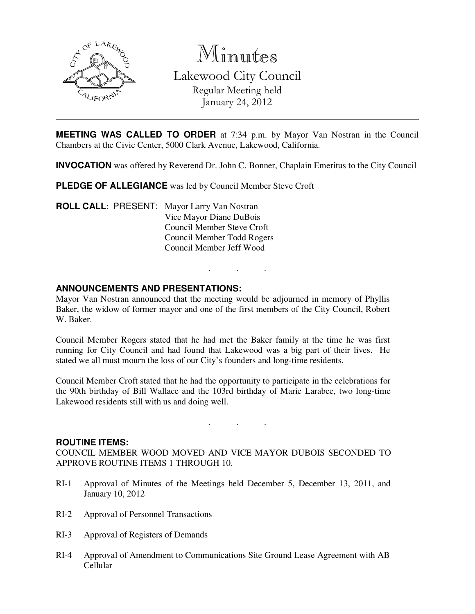

Minutes

Lakewood City Council Regular Meeting held January 24, 2012

**MEETING WAS CALLED TO ORDER** at 7:34 p.m. by Mayor Van Nostran in the Council Chambers at the Civic Center, 5000 Clark Avenue, Lakewood, California.

**INVOCATION** was offered by Reverend Dr. John C. Bonner, Chaplain Emeritus to the City Council

. . .

**PLEDGE OF ALLEGIANCE** was led by Council Member Steve Croft

**ROLL CALL**: PRESENT: Mayor Larry Van Nostran Vice Mayor Diane DuBois Council Member Steve Croft Council Member Todd Rogers Council Member Jeff Wood

### **ANNOUNCEMENTS AND PRESENTATIONS:**

Mayor Van Nostran announced that the meeting would be adjourned in memory of Phyllis Baker, the widow of former mayor and one of the first members of the City Council, Robert W. Baker.

Council Member Rogers stated that he had met the Baker family at the time he was first running for City Council and had found that Lakewood was a big part of their lives. He stated we all must mourn the loss of our City's founders and long-time residents.

Council Member Croft stated that he had the opportunity to participate in the celebrations for the 90th birthday of Bill Wallace and the 103rd birthday of Marie Larabee, two long-time Lakewood residents still with us and doing well.

. . .

#### **ROUTINE ITEMS:**

COUNCIL MEMBER WOOD MOVED AND VICE MAYOR DUBOIS SECONDED TO APPROVE ROUTINE ITEMS 1 THROUGH 10.

- RI-1 Approval of Minutes of the Meetings held December 5, December 13, 2011, and January 10, 2012
- RI-2 Approval of Personnel Transactions
- RI-3 Approval of Registers of Demands
- RI-4 Approval of Amendment to Communications Site Ground Lease Agreement with AB Cellular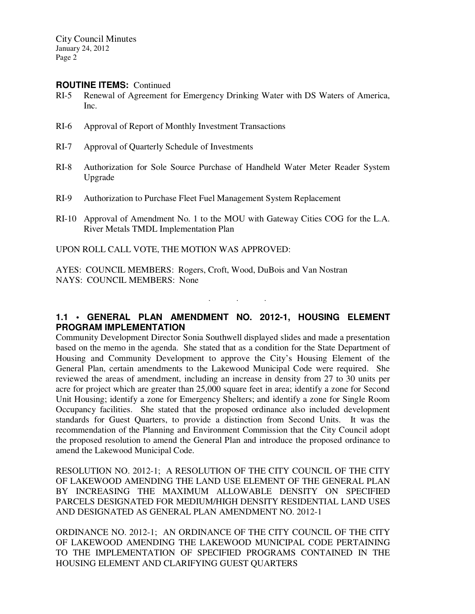#### **ROUTINE ITEMS:** Continued

- RI-5 Renewal of Agreement for Emergency Drinking Water with DS Waters of America, Inc.
- RI-6 Approval of Report of Monthly Investment Transactions
- RI-7 Approval of Quarterly Schedule of Investments
- RI-8 Authorization for Sole Source Purchase of Handheld Water Meter Reader System Upgrade
- RI-9 Authorization to Purchase Fleet Fuel Management System Replacement
- RI-10 Approval of Amendment No. 1 to the MOU with Gateway Cities COG for the L.A. River Metals TMDL Implementation Plan

UPON ROLL CALL VOTE, THE MOTION WAS APPROVED:

AYES: COUNCIL MEMBERS: Rogers, Croft, Wood, DuBois and Van Nostran NAYS: COUNCIL MEMBERS: None

### **1.1 • GENERAL PLAN AMENDMENT NO. 2012-1, HOUSING ELEMENT PROGRAM IMPLEMENTATION**

. . .

Community Development Director Sonia Southwell displayed slides and made a presentation based on the memo in the agenda. She stated that as a condition for the State Department of Housing and Community Development to approve the City's Housing Element of the General Plan, certain amendments to the Lakewood Municipal Code were required. She reviewed the areas of amendment, including an increase in density from 27 to 30 units per acre for project which are greater than 25,000 square feet in area; identify a zone for Second Unit Housing; identify a zone for Emergency Shelters; and identify a zone for Single Room Occupancy facilities. She stated that the proposed ordinance also included development standards for Guest Quarters, to provide a distinction from Second Units. It was the recommendation of the Planning and Environment Commission that the City Council adopt the proposed resolution to amend the General Plan and introduce the proposed ordinance to amend the Lakewood Municipal Code.

RESOLUTION NO. 2012-1; A RESOLUTION OF THE CITY COUNCIL OF THE CITY OF LAKEWOOD AMENDING THE LAND USE ELEMENT OF THE GENERAL PLAN BY INCREASING THE MAXIMUM ALLOWABLE DENSITY ON SPECIFIED PARCELS DESIGNATED FOR MEDIUM/HIGH DENSITY RESIDENTIAL LAND USES AND DESIGNATED AS GENERAL PLAN AMENDMENT NO. 2012-1

ORDINANCE NO. 2012-1; AN ORDINANCE OF THE CITY COUNCIL OF THE CITY OF LAKEWOOD AMENDING THE LAKEWOOD MUNICIPAL CODE PERTAINING TO THE IMPLEMENTATION OF SPECIFIED PROGRAMS CONTAINED IN THE HOUSING ELEMENT AND CLARIFYING GUEST QUARTERS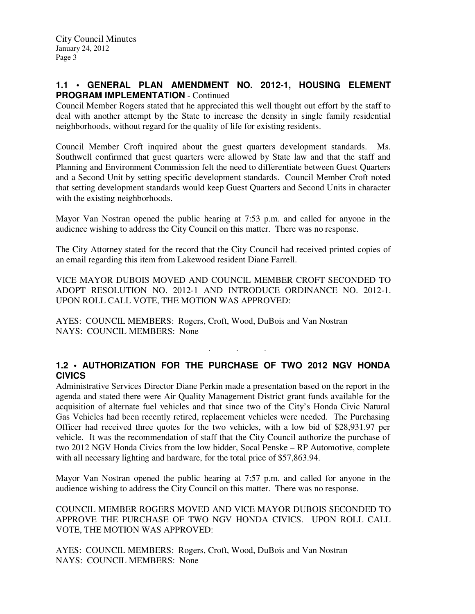#### **1.1 • GENERAL PLAN AMENDMENT NO. 2012-1, HOUSING ELEMENT PROGRAM IMPLEMENTATION** - Continued

Council Member Rogers stated that he appreciated this well thought out effort by the staff to deal with another attempt by the State to increase the density in single family residential neighborhoods, without regard for the quality of life for existing residents.

Council Member Croft inquired about the guest quarters development standards. Ms. Southwell confirmed that guest quarters were allowed by State law and that the staff and Planning and Environment Commission felt the need to differentiate between Guest Quarters and a Second Unit by setting specific development standards. Council Member Croft noted that setting development standards would keep Guest Quarters and Second Units in character with the existing neighborhoods.

Mayor Van Nostran opened the public hearing at 7:53 p.m. and called for anyone in the audience wishing to address the City Council on this matter. There was no response.

The City Attorney stated for the record that the City Council had received printed copies of an email regarding this item from Lakewood resident Diane Farrell.

VICE MAYOR DUBOIS MOVED AND COUNCIL MEMBER CROFT SECONDED TO ADOPT RESOLUTION NO. 2012-1 AND INTRODUCE ORDINANCE NO. 2012-1. UPON ROLL CALL VOTE, THE MOTION WAS APPROVED:

AYES: COUNCIL MEMBERS: Rogers, Croft, Wood, DuBois and Van Nostran NAYS: COUNCIL MEMBERS: None

# **1.2 • AUTHORIZATION FOR THE PURCHASE OF TWO 2012 NGV HONDA CIVICS**

. . .

Administrative Services Director Diane Perkin made a presentation based on the report in the agenda and stated there were Air Quality Management District grant funds available for the acquisition of alternate fuel vehicles and that since two of the City's Honda Civic Natural Gas Vehicles had been recently retired, replacement vehicles were needed. The Purchasing Officer had received three quotes for the two vehicles, with a low bid of \$28,931.97 per vehicle. It was the recommendation of staff that the City Council authorize the purchase of two 2012 NGV Honda Civics from the low bidder, Socal Penske – RP Automotive, complete with all necessary lighting and hardware, for the total price of \$57,863.94.

Mayor Van Nostran opened the public hearing at 7:57 p.m. and called for anyone in the audience wishing to address the City Council on this matter. There was no response.

COUNCIL MEMBER ROGERS MOVED AND VICE MAYOR DUBOIS SECONDED TO APPROVE THE PURCHASE OF TWO NGV HONDA CIVICS. UPON ROLL CALL VOTE, THE MOTION WAS APPROVED:

AYES: COUNCIL MEMBERS: Rogers, Croft, Wood, DuBois and Van Nostran NAYS: COUNCIL MEMBERS: None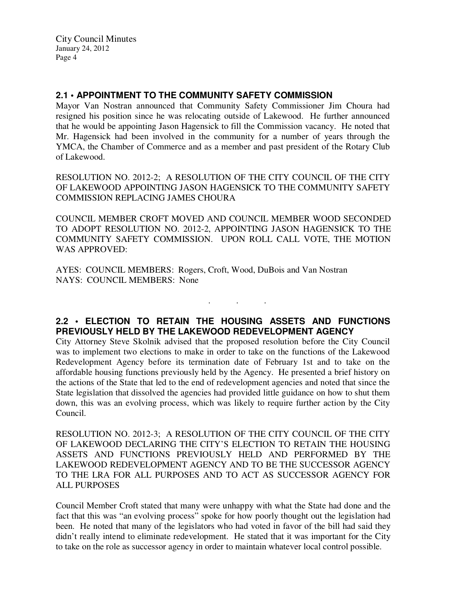## **2.1 • APPOINTMENT TO THE COMMUNITY SAFETY COMMISSION**

Mayor Van Nostran announced that Community Safety Commissioner Jim Choura had resigned his position since he was relocating outside of Lakewood. He further announced that he would be appointing Jason Hagensick to fill the Commission vacancy. He noted that Mr. Hagensick had been involved in the community for a number of years through the YMCA, the Chamber of Commerce and as a member and past president of the Rotary Club of Lakewood.

RESOLUTION NO. 2012-2; A RESOLUTION OF THE CITY COUNCIL OF THE CITY OF LAKEWOOD APPOINTING JASON HAGENSICK TO THE COMMUNITY SAFETY COMMISSION REPLACING JAMES CHOURA

COUNCIL MEMBER CROFT MOVED AND COUNCIL MEMBER WOOD SECONDED TO ADOPT RESOLUTION NO. 2012-2, APPOINTING JASON HAGENSICK TO THE COMMUNITY SAFETY COMMISSION. UPON ROLL CALL VOTE, THE MOTION WAS APPROVED:

AYES: COUNCIL MEMBERS: Rogers, Croft, Wood, DuBois and Van Nostran NAYS: COUNCIL MEMBERS: None

## **2.2 • ELECTION TO RETAIN THE HOUSING ASSETS AND FUNCTIONS PREVIOUSLY HELD BY THE LAKEWOOD REDEVELOPMENT AGENCY**

. . .

City Attorney Steve Skolnik advised that the proposed resolution before the City Council was to implement two elections to make in order to take on the functions of the Lakewood Redevelopment Agency before its termination date of February 1st and to take on the affordable housing functions previously held by the Agency. He presented a brief history on the actions of the State that led to the end of redevelopment agencies and noted that since the State legislation that dissolved the agencies had provided little guidance on how to shut them down, this was an evolving process, which was likely to require further action by the City Council.

RESOLUTION NO. 2012-3; A RESOLUTION OF THE CITY COUNCIL OF THE CITY OF LAKEWOOD DECLARING THE CITY'S ELECTION TO RETAIN THE HOUSING ASSETS AND FUNCTIONS PREVIOUSLY HELD AND PERFORMED BY THE LAKEWOOD REDEVELOPMENT AGENCY AND TO BE THE SUCCESSOR AGENCY TO THE LRA FOR ALL PURPOSES AND TO ACT AS SUCCESSOR AGENCY FOR ALL PURPOSES

Council Member Croft stated that many were unhappy with what the State had done and the fact that this was "an evolving process" spoke for how poorly thought out the legislation had been. He noted that many of the legislators who had voted in favor of the bill had said they didn't really intend to eliminate redevelopment. He stated that it was important for the City to take on the role as successor agency in order to maintain whatever local control possible.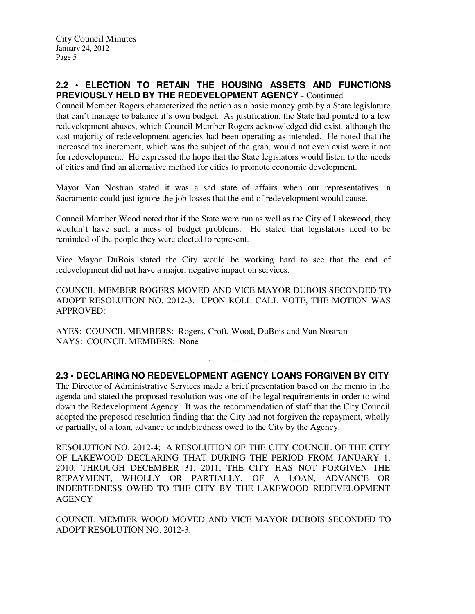## **2.2 • ELECTION TO RETAIN THE HOUSING ASSETS AND FUNCTIONS PREVIOUSLY HELD BY THE REDEVELOPMENT AGENCY** - Continued

Council Member Rogers characterized the action as a basic money grab by a State legislature that can't manage to balance it's own budget. As justification, the State had pointed to a few redevelopment abuses, which Council Member Rogers acknowledged did exist, although the vast majority of redevelopment agencies had been operating as intended. He noted that the increased tax increment, which was the subject of the grab, would not even exist were it not for redevelopment. He expressed the hope that the State legislators would listen to the needs of cities and find an alternative method for cities to promote economic development.

Mayor Van Nostran stated it was a sad state of affairs when our representatives in Sacramento could just ignore the job losses that the end of redevelopment would cause.

Council Member Wood noted that if the State were run as well as the City of Lakewood, they wouldn't have such a mess of budget problems. He stated that legislators need to be reminded of the people they were elected to represent.

Vice Mayor DuBois stated the City would be working hard to see that the end of redevelopment did not have a major, negative impact on services.

COUNCIL MEMBER ROGERS MOVED AND VICE MAYOR DUBOIS SECONDED TO ADOPT RESOLUTION NO. 2012-3. UPON ROLL CALL VOTE, THE MOTION WAS APPROVED:

AYES: COUNCIL MEMBERS: Rogers, Croft, Wood, DuBois and Van Nostran NAYS: COUNCIL MEMBERS: None

## **2.3 • DECLARING NO REDEVELOPMENT AGENCY LOANS FORGIVEN BY CITY**

. . .

The Director of Administrative Services made a brief presentation based on the memo in the agenda and stated the proposed resolution was one of the legal requirements in order to wind down the Redevelopment Agency. It was the recommendation of staff that the City Council adopted the proposed resolution finding that the City had not forgiven the repayment, wholly or partially, of a loan, advance or indebtedness owed to the City by the Agency.

RESOLUTION NO. 2012-4; A RESOLUTION OF THE CITY COUNCIL OF THE CITY OF LAKEWOOD DECLARING THAT DURING THE PERIOD FROM JANUARY 1, 2010, THROUGH DECEMBER 31, 2011, THE CITY HAS NOT FORGIVEN THE REPAYMENT, WHOLLY OR PARTIALLY, OF A LOAN, ADVANCE OR INDEBTEDNESS OWED TO THE CITY BY THE LAKEWOOD REDEVELOPMENT **AGENCY** 

COUNCIL MEMBER WOOD MOVED AND VICE MAYOR DUBOIS SECONDED TO ADOPT RESOLUTION NO. 2012-3.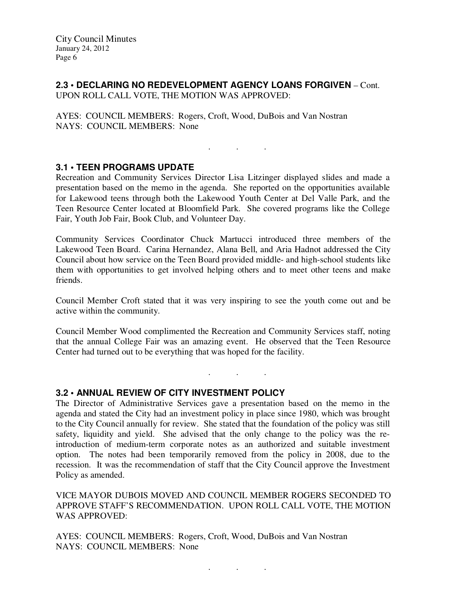#### **2.3 • DECLARING NO REDEVELOPMENT AGENCY LOANS FORGIVEN** – Cont. UPON ROLL CALL VOTE, THE MOTION WAS APPROVED:

AYES: COUNCIL MEMBERS: Rogers, Croft, Wood, DuBois and Van Nostran NAYS: COUNCIL MEMBERS: None

## **3.1 • TEEN PROGRAMS UPDATE**

Recreation and Community Services Director Lisa Litzinger displayed slides and made a presentation based on the memo in the agenda. She reported on the opportunities available for Lakewood teens through both the Lakewood Youth Center at Del Valle Park, and the Teen Resource Center located at Bloomfield Park. She covered programs like the College Fair, Youth Job Fair, Book Club, and Volunteer Day.

. . .

Community Services Coordinator Chuck Martucci introduced three members of the Lakewood Teen Board. Carina Hernandez, Alana Bell, and Aria Hadnot addressed the City Council about how service on the Teen Board provided middle- and high-school students like them with opportunities to get involved helping others and to meet other teens and make friends.

Council Member Croft stated that it was very inspiring to see the youth come out and be active within the community.

Council Member Wood complimented the Recreation and Community Services staff, noting that the annual College Fair was an amazing event. He observed that the Teen Resource Center had turned out to be everything that was hoped for the facility.

. . .

# **3.2 • ANNUAL REVIEW OF CITY INVESTMENT POLICY**

The Director of Administrative Services gave a presentation based on the memo in the agenda and stated the City had an investment policy in place since 1980, which was brought to the City Council annually for review. She stated that the foundation of the policy was still safety, liquidity and yield. She advised that the only change to the policy was the reintroduction of medium-term corporate notes as an authorized and suitable investment option. The notes had been temporarily removed from the policy in 2008, due to the recession. It was the recommendation of staff that the City Council approve the Investment Policy as amended.

VICE MAYOR DUBOIS MOVED AND COUNCIL MEMBER ROGERS SECONDED TO APPROVE STAFF'S RECOMMENDATION. UPON ROLL CALL VOTE, THE MOTION WAS APPROVED:

. . .

AYES: COUNCIL MEMBERS: Rogers, Croft, Wood, DuBois and Van Nostran NAYS: COUNCIL MEMBERS: None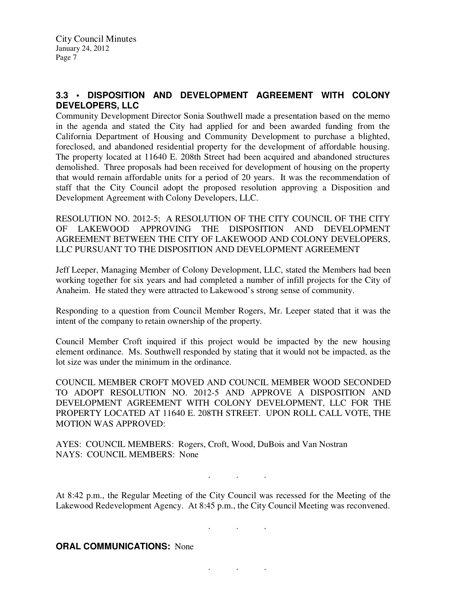## **3.3 • DISPOSITION AND DEVELOPMENT AGREEMENT WITH COLONY DEVELOPERS, LLC**

Community Development Director Sonia Southwell made a presentation based on the memo in the agenda and stated the City had applied for and been awarded funding from the California Department of Housing and Community Development to purchase a blighted, foreclosed, and abandoned residential property for the development of affordable housing. The property located at 11640 E. 208th Street had been acquired and abandoned structures demolished. Three proposals had been received for development of housing on the property that would remain affordable units for a period of 20 years. It was the recommendation of staff that the City Council adopt the proposed resolution approving a Disposition and Development Agreement with Colony Developers, LLC.

RESOLUTION NO. 2012-5; A RESOLUTION OF THE CITY COUNCIL OF THE CITY OF LAKEWOOD APPROVING THE DISPOSITION AND DEVELOPMENT AGREEMENT BETWEEN THE CITY OF LAKEWOOD AND COLONY DEVELOPERS, LLC PURSUANT TO THE DISPOSITION AND DEVELOPMENT AGREEMENT

Jeff Leeper, Managing Member of Colony Development, LLC, stated the Members had been working together for six years and had completed a number of infill projects for the City of Anaheim. He stated they were attracted to Lakewood's strong sense of community.

Responding to a question from Council Member Rogers, Mr. Leeper stated that it was the intent of the company to retain ownership of the property.

Council Member Croft inquired if this project would be impacted by the new housing element ordinance. Ms. Southwell responded by stating that it would not be impacted, as the lot size was under the minimum in the ordinance.

COUNCIL MEMBER CROFT MOVED AND COUNCIL MEMBER WOOD SECONDED TO ADOPT RESOLUTION NO. 2012-5 AND APPROVE A DISPOSITION AND DEVELOPMENT AGREEMENT WITH COLONY DEVELOPMENT, LLC FOR THE PROPERTY LOCATED AT 11640 E. 208TH STREET. UPON ROLL CALL VOTE, THE MOTION WAS APPROVED:

AYES: COUNCIL MEMBERS: Rogers, Croft, Wood, DuBois and Van Nostran NAYS: COUNCIL MEMBERS: None

At 8:42 p.m., the Regular Meeting of the City Council was recessed for the Meeting of the Lakewood Redevelopment Agency. At 8:45 p.m., the City Council Meeting was reconvened.

. . .

. . .

. . .

#### **ORAL COMMUNICATIONS: None**